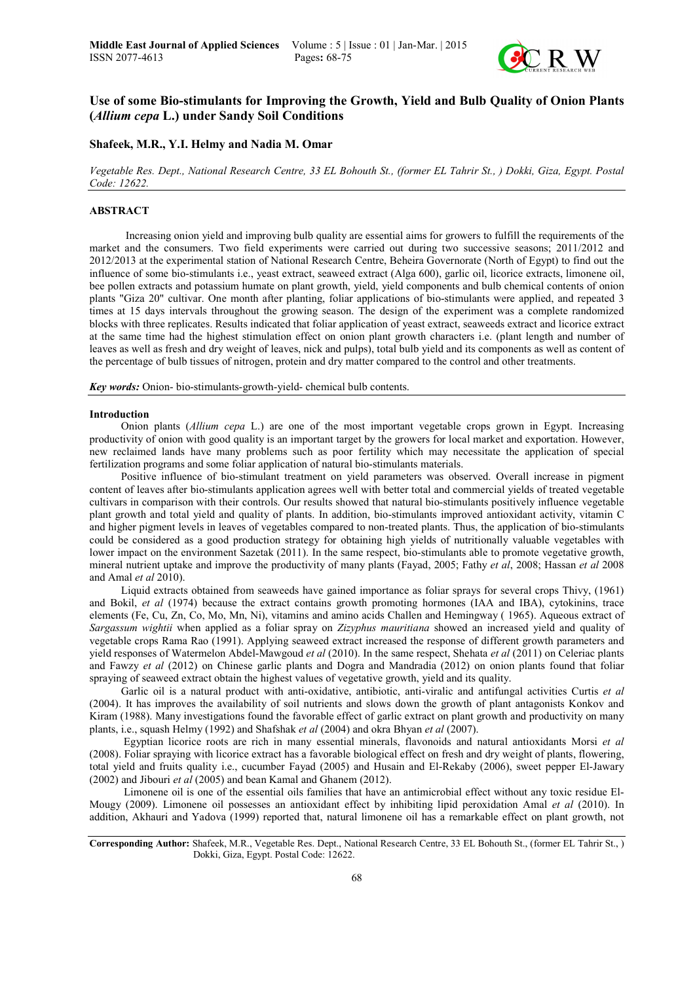

# Use of some Bio-stimulants for Improving the Growth, Yield and Bulb Quality of Onion Plants (*Allium cepa* L.) under Sandy Soil Conditions

## Shafeek, M.R., Y.I. Helmy and Nadia M. Omar

*Vegetable Res. Dept., National Research Centre, 33 EL Bohouth St., (former EL Tahrir St., ) Dokki, Giza, Egypt. Postal Code: 12622.*

# ABSTRACT

 Increasing onion yield and improving bulb quality are essential aims for growers to fulfill the requirements of the market and the consumers. Two field experiments were carried out during two successive seasons; 2011/2012 and 2012/2013 at the experimental station of National Research Centre, Beheira Governorate (North of Egypt) to find out the influence of some bio-stimulants i.e., yeast extract, seaweed extract (Alga 600), garlic oil, licorice extracts, limonene oil, bee pollen extracts and potassium humate on plant growth, yield, yield components and bulb chemical contents of onion plants "Giza 20" cultivar. One month after planting, foliar applications of bio-stimulants were applied, and repeated 3 times at 15 days intervals throughout the growing season. The design of the experiment was a complete randomized blocks with three replicates. Results indicated that foliar application of yeast extract, seaweeds extract and licorice extract at the same time had the highest stimulation effect on onion plant growth characters i.e. (plant length and number of leaves as well as fresh and dry weight of leaves, nick and pulps), total bulb yield and its components as well as content of the percentage of bulb tissues of nitrogen, protein and dry matter compared to the control and other treatments.

*Key words:* Onion- bio-stimulants-growth-yield- chemical bulb contents.

#### Introduction

Onion plants (*Allium cepa* L.) are one of the most important vegetable crops grown in Egypt. Increasing productivity of onion with good quality is an important target by the growers for local market and exportation. However, new reclaimed lands have many problems such as poor fertility which may necessitate the application of special fertilization programs and some foliar application of natural bio-stimulants materials.

Positive influence of bio-stimulant treatment on yield parameters was observed. Overall increase in pigment content of leaves after bio-stimulants application agrees well with better total and commercial yields of treated vegetable cultivars in comparison with their controls. Our results showed that natural bio-stimulants positively influence vegetable plant growth and total yield and quality of plants. In addition, bio-stimulants improved antioxidant activity, vitamin C and higher pigment levels in leaves of vegetables compared to non-treated plants. Thus, the application of bio-stimulants could be considered as a good production strategy for obtaining high yields of nutritionally valuable vegetables with lower impact on the environment Sazetak (2011). In the same respect, bio-stimulants able to promote vegetative growth, mineral nutrient uptake and improve the productivity of many plants (Fayad, 2005; Fathy *et al*, 2008; Hassan *et al* 2008 and Amal *et al* 2010).

Liquid extracts obtained from seaweeds have gained importance as foliar sprays for several crops Thivy, (1961) and Bokil, *et al* (1974) because the extract contains growth promoting hormones (IAA and IBA), cytokinins, trace elements (Fe, Cu, Zn, Co, Mo, Mn, Ni), vitamins and amino acids Challen and Hemingway ( 1965). Aqueous extract of *Sargassum wightii* when applied as a foliar spray on *Zizyphus mauritiana* showed an increased yield and quality of vegetable crops Rama Rao (1991). Applying seaweed extract increased the response of different growth parameters and yield responses of Watermelon Abdel-Mawgoud *et al* (2010). In the same respect, Shehata *et al* (2011) on Celeriac plants and Fawzy *et al* (2012) on Chinese garlic plants and Dogra and Mandradia (2012) on onion plants found that foliar spraying of seaweed extract obtain the highest values of vegetative growth, yield and its quality.

Garlic oil is a natural product with anti-oxidative, antibiotic, anti-viralic and antifungal activities Curtis *et al* (2004). It has improves the availability of soil nutrients and slows down the growth of plant antagonists Konkov and Kiram (1988). Many investigations found the favorable effect of garlic extract on plant growth and productivity on many plants, i.e., squash Helmy (1992) and Shafshak *et al* (2004) and okra Bhyan *et al* (2007).

Egyptian licorice roots are rich in many essential minerals, flavonoids and natural antioxidants Morsi *et al* (2008). Foliar spraying with licorice extract has a favorable biological effect on fresh and dry weight of plants, flowering, total yield and fruits quality i.e., cucumber Fayad (2005) and Husain and El-Rekaby (2006), sweet pepper El-Jawary (2002) and Jibouri *et al* (2005) and bean Kamal and Ghanem (2012).

Limonene oil is one of the essential oils families that have an antimicrobial effect without any toxic residue El-Mougy (2009). Limonene oil possesses an antioxidant effect by inhibiting lipid peroxidation Amal *et al* (2010). In addition, Akhauri and Yadova (1999) reported that, natural limonene oil has a remarkable effect on plant growth, not

Corresponding Author: Shafeek, M.R., Vegetable Res. Dept., National Research Centre, 33 EL Bohouth St., (former EL Tahrir St., ) Dokki, Giza, Egypt. Postal Code: 12622.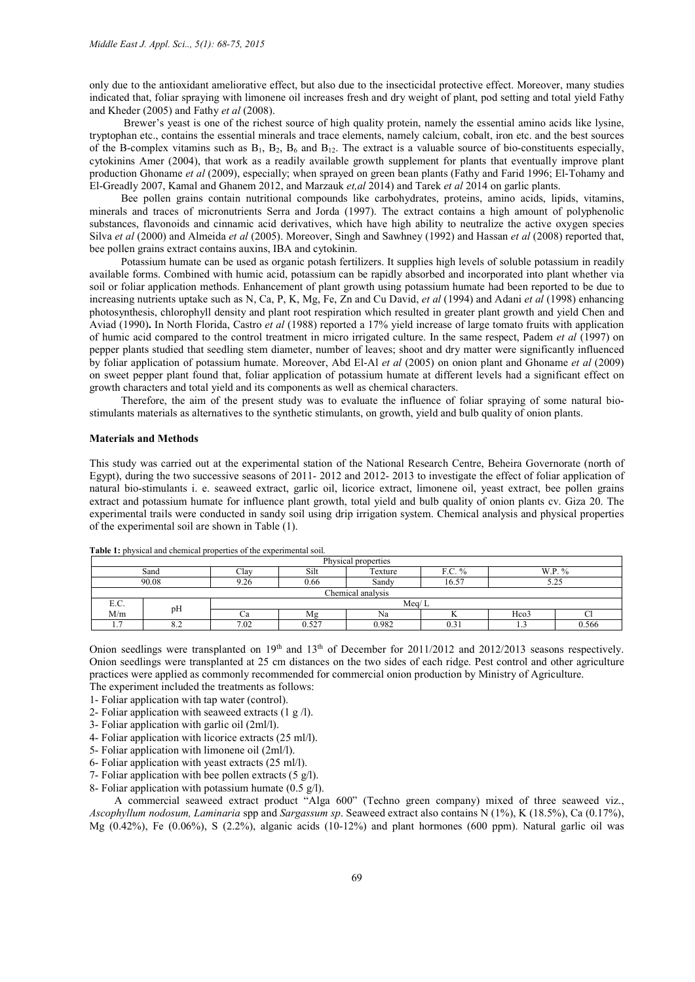only due to the antioxidant ameliorative effect, but also due to the insecticidal protective effect. Moreover, many studies indicated that, foliar spraying with limonene oil increases fresh and dry weight of plant, pod setting and total yield Fathy and Kheder (2005) and Fathy *et al* (2008).

Brewer's yeast is one of the richest source of high quality protein, namely the essential amino acids like lysine, tryptophan etc., contains the essential minerals and trace elements, namely calcium, cobalt, iron etc. and the best sources of the B-complex vitamins such as  $B_1$ ,  $B_2$ ,  $B_6$  and  $B_{12}$ . The extract is a valuable source of bio-constituents especially, cytokinins Amer (2004), that work as a readily available growth supplement for plants that eventually improve plant production Ghoname *et al* (2009), especially; when sprayed on green bean plants (Fathy and Farid 1996; El-Tohamy and El-Greadly 2007, Kamal and Ghanem 2012, and Marzauk *et,al* 2014) and Tarek *et al* 2014 on garlic plants.

Bee pollen grains contain nutritional compounds like carbohydrates, proteins, amino acids, lipids, vitamins, minerals and traces of micronutrients Serra and Jorda (1997). The extract contains a high amount of polyphenolic substances, flavonoids and cinnamic acid derivatives, which have high ability to neutralize the active oxygen species Silva *et al* (2000) and Almeida *et al* (2005). Moreover, Singh and Sawhney (1992) and Hassan *et al* (2008) reported that, bee pollen grains extract contains auxins, IBA and cytokinin.

Potassium humate can be used as organic potash fertilizers. It supplies high levels of soluble potassium in readily available forms. Combined with humic acid, potassium can be rapidly absorbed and incorporated into plant whether via soil or foliar application methods. Enhancement of plant growth using potassium humate had been reported to be due to increasing nutrients uptake such as N, Ca, P, K, Mg, Fe, Zn and Cu David, *et al* (1994) and Adani *et al* (1998) enhancing photosynthesis, chlorophyll density and plant root respiration which resulted in greater plant growth and yield Chen and Aviad (1990). In North Florida, Castro *et al* (1988) reported a 17% yield increase of large tomato fruits with application of humic acid compared to the control treatment in micro irrigated culture. In the same respect, Padem *et al* (1997) on pepper plants studied that seedling stem diameter, number of leaves; shoot and dry matter were significantly influenced by foliar application of potassium humate. Moreover, Abd El-Al *et al* (2005) on onion plant and Ghoname *et al* (2009) on sweet pepper plant found that, foliar application of potassium humate at different levels had a significant effect on growth characters and total yield and its components as well as chemical characters.

Therefore, the aim of the present study was to evaluate the influence of foliar spraying of some natural biostimulants materials as alternatives to the synthetic stimulants, on growth, yield and bulb quality of onion plants.

### Materials and Methods

This study was carried out at the experimental station of the National Research Centre, Beheira Governorate (north of Egypt), during the two successive seasons of 2011- 2012 and 2012- 2013 to investigate the effect of foliar application of natural bio-stimulants i. e. seaweed extract, garlic oil, licorice extract, limonene oil, yeast extract, bee pollen grains extract and potassium humate for influence plant growth, total yield and bulb quality of onion plants cv. Giza 20. The experimental trails were conducted in sandy soil using drip irrigation system. Chemical analysis and physical properties of the experimental soil are shown in Table (1).

| Physical properties   |                                                                  |      |       |       |                |                  |   |  |  |  |
|-----------------------|------------------------------------------------------------------|------|-------|-------|----------------|------------------|---|--|--|--|
|                       | W.P.<br>Silt<br>F.C.<br>Clav<br>Texture<br>$\frac{0}{0}$<br>Sand |      |       |       |                |                  |   |  |  |  |
|                       | 90.08                                                            | 9.26 | 0.66  | Sandy | 16.57          | - ک              |   |  |  |  |
|                       | Chemical analysis                                                |      |       |       |                |                  |   |  |  |  |
| E.C.                  | pH                                                               |      | Meq/L |       |                |                  |   |  |  |  |
| M/m                   |                                                                  | Ψa   | Mg    | Na    |                | Hco <sub>3</sub> | ◡ |  |  |  |
| $\overline{ }$<br>. . | 8.2                                                              | 7.02 | 527   | 0.982 | $\sim$<br>U.SI | 0.566<br>.       |   |  |  |  |

Table 1: physical and chemical properties of the experimental soil.

Onion seedlings were transplanted on 19<sup>th</sup> and 13<sup>th</sup> of December for 2011/2012 and 2012/2013 seasons respectively. Onion seedlings were transplanted at 25 cm distances on the two sides of each ridge. Pest control and other agriculture practices were applied as commonly recommended for commercial onion production by Ministry of Agriculture.

The experiment included the treatments as follows:

- 1- Foliar application with tap water (control). 2- Foliar application with seaweed extracts (1 g /l).
- 
- 3- Foliar application with garlic oil (2ml/l).
- 4- Foliar application with licorice extracts (25 ml/l).
- 5- Foliar application with limonene oil (2ml/l).
- 6- Foliar application with yeast extracts (25 ml/l).
- 7- Foliar application with bee pollen extracts  $(5 \text{ g/l})$ .
- 8- Foliar application with potassium humate (0.5 g/l).

 A commercial seaweed extract product "Alga 600" (Techno green company) mixed of three seaweed viz., *Ascophyllum nodosum, Laminaria* spp and *Sargassum sp*. Seaweed extract also contains N (1%), K (18.5%), Ca (0.17%), Mg (0.42%), Fe (0.06%), S (2.2%), alganic acids (10-12%) and plant hormones (600 ppm). Natural garlic oil was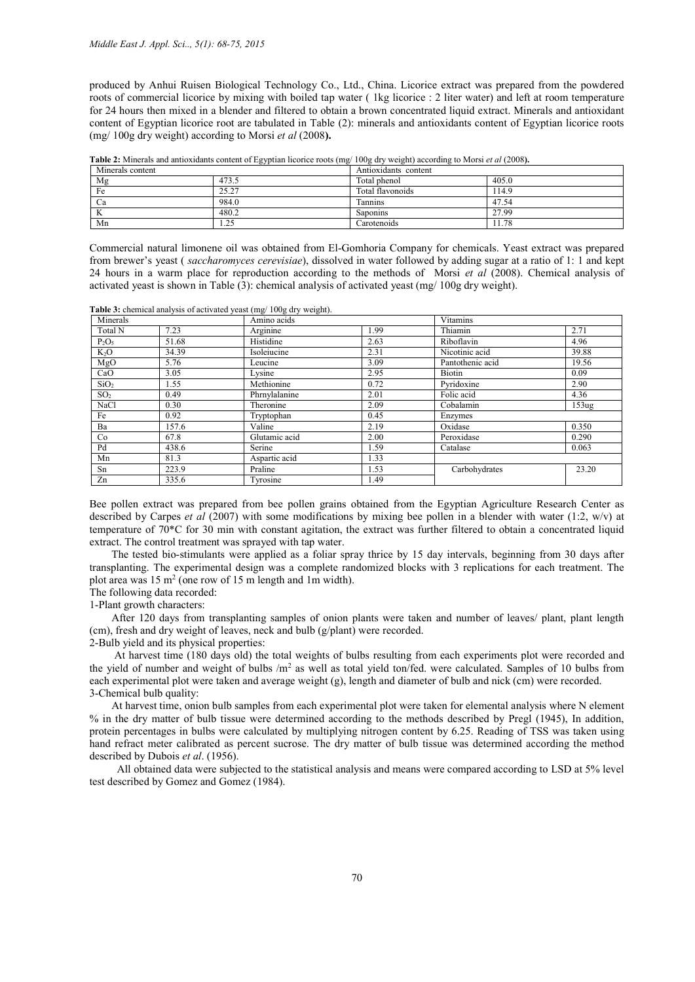produced by Anhui Ruisen Biological Technology Co., Ltd., China. Licorice extract was prepared from the powdered roots of commercial licorice by mixing with boiled tap water ( 1kg licorice : 2 liter water) and left at room temperature for 24 hours then mixed in a blender and filtered to obtain a brown concentrated liquid extract. Minerals and antioxidant content of Egyptian licorice root are tabulated in Table (2): minerals and antioxidants content of Egyptian licorice roots (mg/ 100g dry weight) according to Morsi *et al* (2008).

Table 2: Minerals and antioxidants content of Egyptian licorice roots (mg/ 100g dry weight) according to Morsi *et al* (2008).

| Minerals content |                    | Antioxidants content |       |  |  |  |
|------------------|--------------------|----------------------|-------|--|--|--|
| Mg               | 473.5              | Total phenol         | 405.0 |  |  |  |
| Fe               | 25.27              | Total flavonoids     | 14.9  |  |  |  |
| Ca               | 984.0              | Tannins              | 47.54 |  |  |  |
| K                | 480.2              | <b>Saponins</b>      | 27.99 |  |  |  |
| Mn               | $\gamma$<br>ر ہے . | Carotenoids          | 1.78  |  |  |  |

Commercial natural limonene oil was obtained from El-Gomhoria Company for chemicals. Yeast extract was prepared from brewer's yeast ( *saccharomyces cerevisiae*), dissolved in water followed by adding sugar at a ratio of 1: 1 and kept 24 hours in a warm place for reproduction according to the methods of Morsi *et al* (2008). Chemical analysis of activated yeast is shown in Table (3): chemical analysis of activated yeast (mg/ 100g dry weight).

Table 3: chemical analysis of activated yeast (mg/ 100g dry weight).

| Minerals         |       | Amino acids   |      | <b>Vitamins</b>  |                   |
|------------------|-------|---------------|------|------------------|-------------------|
| Total N          | 7.23  | Arginine      | 1.99 | Thiamin          | 2.71              |
| $P_2O_5$         | 51.68 | Histidine     | 2.63 | Riboflavin       | 4.96              |
| $K_2O$           | 34.39 | Isoleiucine   | 2.31 | Nicotinic acid   | 39.88             |
| MgO              | 5.76  | Leucine       | 3.09 | Pantothenic acid | 19.56             |
| CaO              | 3.05  | Lysine        | 2.95 | Biotin           | 0.09              |
| SiO <sub>2</sub> | 1.55  | Methionine    | 0.72 | Pyridoxine       | 2.90              |
| SO <sub>2</sub>  | 0.49  | Phrnylalanine | 2.01 | Folic acid       | 4.36              |
| NaCl             | 0.30  | Theronine     | 2.09 | Cobalamin        | 153 <sub>ug</sub> |
| Fe               | 0.92  | Tryptophan    | 0.45 | Enzymes          |                   |
| Ba               | 157.6 | Valine        | 2.19 | Oxidase          | 0.350             |
| Co               | 67.8  | Glutamic acid | 2.00 | Peroxidase       | 0.290             |
| Pd               | 438.6 | Serine        | 1.59 | Catalase         | 0.063             |
| Mn               | 81.3  | Aspartic acid | 1.33 |                  |                   |
| Sn               | 223.9 | Praline       | 1.53 | Carbohydrates    | 23.20             |
| Zn               | 335.6 | Tyrosine      | 1.49 |                  |                   |

Bee pollen extract was prepared from bee pollen grains obtained from the Egyptian Agriculture Research Center as described by Carpes *et al* (2007) with some modifications by mixing bee pollen in a blender with water (1:2, w/v) at temperature of 70\*C for 30 min with constant agitation, the extract was further filtered to obtain a concentrated liquid extract. The control treatment was sprayed with tap water.

 The tested bio-stimulants were applied as a foliar spray thrice by 15 day intervals, beginning from 30 days after transplanting. The experimental design was a complete randomized blocks with 3 replications for each treatment. The plot area was 15 m2 (one row of 15 m length and 1m width).

The following data recorded:

1-Plant growth characters:

 After 120 days from transplanting samples of onion plants were taken and number of leaves/ plant, plant length (cm), fresh and dry weight of leaves, neck and bulb (g/plant) were recorded.

2-Bulb yield and its physical properties:

 At harvest time (180 days old) the total weights of bulbs resulting from each experiments plot were recorded and the yield of number and weight of bulbs /m<sup>2</sup> as well as total yield ton/fed. were calculated. Samples of 10 bulbs from each experimental plot were taken and average weight (g), length and diameter of bulb and nick (cm) were recorded. 3-Chemical bulb quality:

 At harvest time, onion bulb samples from each experimental plot were taken for elemental analysis where N element % in the dry matter of bulb tissue were determined according to the methods described by Pregl (1945), In addition, protein percentages in bulbs were calculated by multiplying nitrogen content by 6.25. Reading of TSS was taken using hand refract meter calibrated as percent sucrose. The dry matter of bulb tissue was determined according the method described by Dubois *et al*. (1956).

 All obtained data were subjected to the statistical analysis and means were compared according to LSD at 5% level test described by Gomez and Gomez (1984).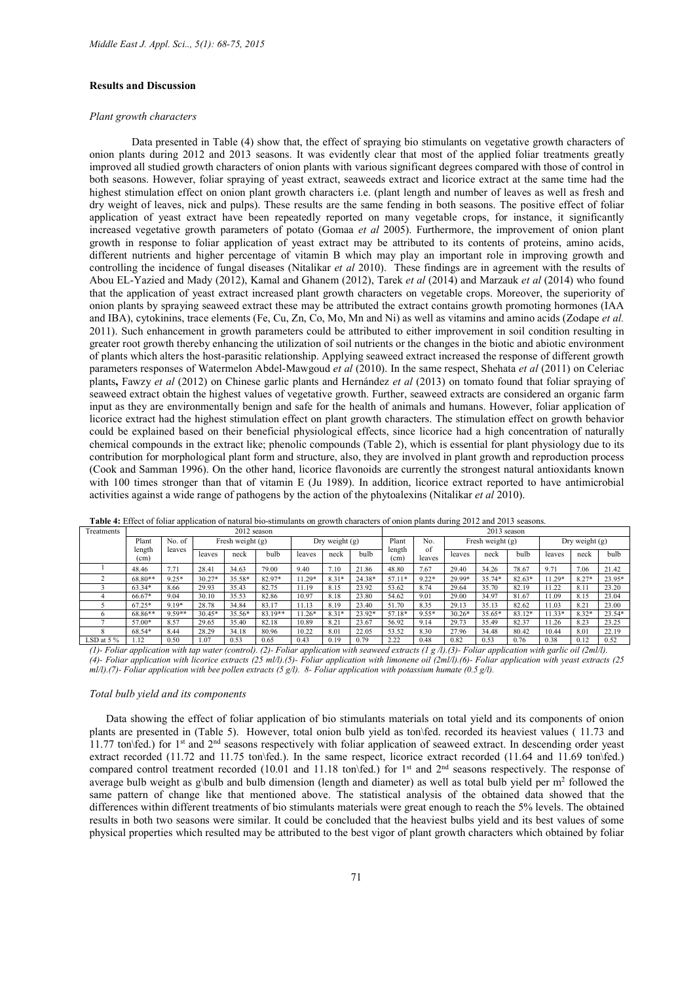### Results and Discussion

#### *Plant growth characters*

Data presented in Table (4) show that, the effect of spraying bio stimulants on vegetative growth characters of onion plants during 2012 and 2013 seasons. It was evidently clear that most of the applied foliar treatments greatly improved all studied growth characters of onion plants with various significant degrees compared with those of control in both seasons. However, foliar spraying of yeast extract, seaweeds extract and licorice extract at the same time had the highest stimulation effect on onion plant growth characters i.e. (plant length and number of leaves as well as fresh and dry weight of leaves, nick and pulps). These results are the same fending in both seasons. The positive effect of foliar application of yeast extract have been repeatedly reported on many vegetable crops, for instance, it significantly increased vegetative growth parameters of potato (Gomaa *et al* 2005). Furthermore, the improvement of onion plant growth in response to foliar application of yeast extract may be attributed to its contents of proteins, amino acids, different nutrients and higher percentage of vitamin B which may play an important role in improving growth and controlling the incidence of fungal diseases (Nitalikar *et al* 2010). These findings are in agreement with the results of Abou EL-Yazied and Mady (2012), Kamal and Ghanem (2012), Tarek *et al* (2014) and Marzauk *et al* (2014) who found that the application of yeast extract increased plant growth characters on vegetable crops. Moreover, the superiority of onion plants by spraying seaweed extract these may be attributed the extract contains growth promoting hormones (IAA and IBA), cytokinins, trace elements (Fe, Cu, Zn, Co, Mo, Mn and Ni) as well as vitamins and amino acids (Zodape *et al.* 2011). Such enhancement in growth parameters could be attributed to either improvement in soil condition resulting in greater root growth thereby enhancing the utilization of soil nutrients or the changes in the biotic and abiotic environment of plants which alters the host-parasitic relationship. Applying seaweed extract increased the response of different growth parameters responses of Watermelon Abdel-Mawgoud *et al* (2010). In the same respect, Shehata *et al* (2011) on Celeriac plants, Fawzy *et al* (2012) on Chinese garlic plants and Hernández *et al* (2013) on tomato found that foliar spraying of seaweed extract obtain the highest values of vegetative growth. Further, seaweed extracts are considered an organic farm input as they are environmentally benign and safe for the health of animals and humans. However, foliar application of licorice extract had the highest stimulation effect on plant growth characters. The stimulation effect on growth behavior could be explained based on their beneficial physiological effects, since licorice had a high concentration of naturally chemical compounds in the extract like; phenolic compounds (Table 2), which is essential for plant physiology due to its contribution for morphological plant form and structure, also, they are involved in plant growth and reproduction process (Cook and Samman 1996). On the other hand, licorice flavonoids are currently the strongest natural antioxidants known with 100 times stronger than that of vitamin E (Ju 1989). In addition, licorice extract reported to have antimicrobial activities against a wide range of pathogens by the action of the phytoalexins (Nitalikar *et al* 2010).

| Treatments   | 2012 season                 |         |          |                    |         |          |                  |        |                    | $2013$ season |                    |          |          |         |                  |        |  |
|--------------|-----------------------------|---------|----------|--------------------|---------|----------|------------------|--------|--------------------|---------------|--------------------|----------|----------|---------|------------------|--------|--|
|              | Plant                       | No. of  |          | Fresh weight $(g)$ |         |          | Dry weight $(g)$ |        | Plant<br>No.<br>of |               | Fresh weight $(g)$ |          |          |         | Dry weight $(g)$ |        |  |
|              | length<br>(c <sub>m</sub> ) | leaves  | leaves   | neck               | bulb    | leaves   | neck             | bulb   | length<br>(cm)     | leaves        | leaves             | neck     | bulb     | leaves  | neck             | bulb   |  |
|              | 48.46                       | 7.71    | 28.41    | 34.63              | 79.00   | 9.40     | 7.10             | 21.86  | 48.80              | 7.67          | 29.40              | 34.26    | 78.67    | 9.71    | 7.06             | 21.42  |  |
|              | 68.80**                     | $9.25*$ | $30.27*$ | 35.58*             | 82.97*  | 11.29*   | $8.31*$          | 24.38* | 57.11*             | $9.22*$       | 29.99*             | 35.74*   | $82.63*$ | $1.29*$ | $8.27*$          | 23.95* |  |
|              | 63.34*                      | 8.66    | 29.93    | 35.43              | 82.75   | 11.19    | 8.15             | 23.92  | 53.62              | 8.74          | 29.64              | 35.70    | 82.19    | 1.22    | 8.11             | 23.20  |  |
|              | 66.67*                      | 9.04    | 30.10    | 35.53              | 82.86   | 10.97    | 8.18             | 23.80  | 54.62              | 9.01          | 29.00              | 34.97    | 81.67    | 11.09   | 8.15             | 23.04  |  |
|              | $67.25*$                    | $9.19*$ | 28.78    | 34.84              | 83.17   | 11.13    | 8.19             | 23.40  | 51.70              | 8.35          | 29.13              | 35.13    | 82.62    | 11.03   | 8.21             | 23.00  |  |
|              | 68.86**                     | 9.59**  | $30.45*$ | 35.56*             | 83.19** | $11.26*$ | $8.31*$          | 23.92* | 57.18*             | $9.55*$       | $30.26*$           | $35.65*$ | 83.12*   | $1.33*$ | $8.32*$          | 23.54* |  |
|              | 57.00*                      | 8.57    | 29.65    | 35.40              | 82.18   | 10.89    | 8.21             | 23.67  | 56.92              | 9.14          | 29.73              | 35.49    | 82.37    | 11.26   | 8.23             | 23.25  |  |
|              | 68.54*                      | 8.44    | 28.29    | 34.18              | 80.96   | 10.22    | 8.01             | 22.05  | 53.52              | 8.30          | 27.96              | 34.48    | 80.42    | 10.44   | 8.01             | 22.19  |  |
| LSD at $5\%$ | l.12                        | 0.50    | .07      | 0.53               | 0.65    | 0.43     | 0.19             | 0.79   | 2.22               | 0.48          | 0.82               | 0.53     | 0.76     | 0.38    | 0.12             | 0.52   |  |

Table 4: Effect of foliar application of natural bio-stimulants on growth characters of onion plants during 2012 and 2013 seasons.

*(1)- Foliar application with tap water (control). (2)- Foliar application with seaweed extracts (1 g /l).(3)- Foliar application with garlic oil (2ml/l). (4)- Foliar application with licorice extracts (25 ml/l).(5)- Foliar application with limonene oil (2ml/l).(6)- Foliar application with yeast extracts (25 ml/l).(7)- Foliar application with bee pollen extracts (5 g/l). 8- Foliar application with potassium humate (0.5 g/l).*

#### *Total bulb yield and its components*

 Data showing the effect of foliar application of bio stimulants materials on total yield and its components of onion plants are presented in (Table 5). However, total onion bulb yield as ton\fed. recorded its heaviest values ( 11.73 and 11.77 ton\fed.) for 1<sup>st</sup> and 2<sup>nd</sup> seasons respectively with foliar application of seaweed extract. In descending order yeast extract recorded (11.72 and 11.75 ton\fed.). In the same respect, licorice extract recorded (11.64 and 11.69 ton\fed.) compared control treatment recorded (10.01 and 11.18 ton\fed.) for 1<sup>st</sup> and 2<sup>nd</sup> seasons respectively. The response of average bulb weight as g\bulb and bulb dimension (length and diameter) as well as total bulb yield per  $m<sup>2</sup>$  followed the same pattern of change like that mentioned above. The statistical analysis of the obtained data showed that the differences within different treatments of bio stimulants materials were great enough to reach the 5% levels. The obtained results in both two seasons were similar. It could be concluded that the heaviest bulbs yield and its best values of some physical properties which resulted may be attributed to the best vigor of plant growth characters which obtained by foliar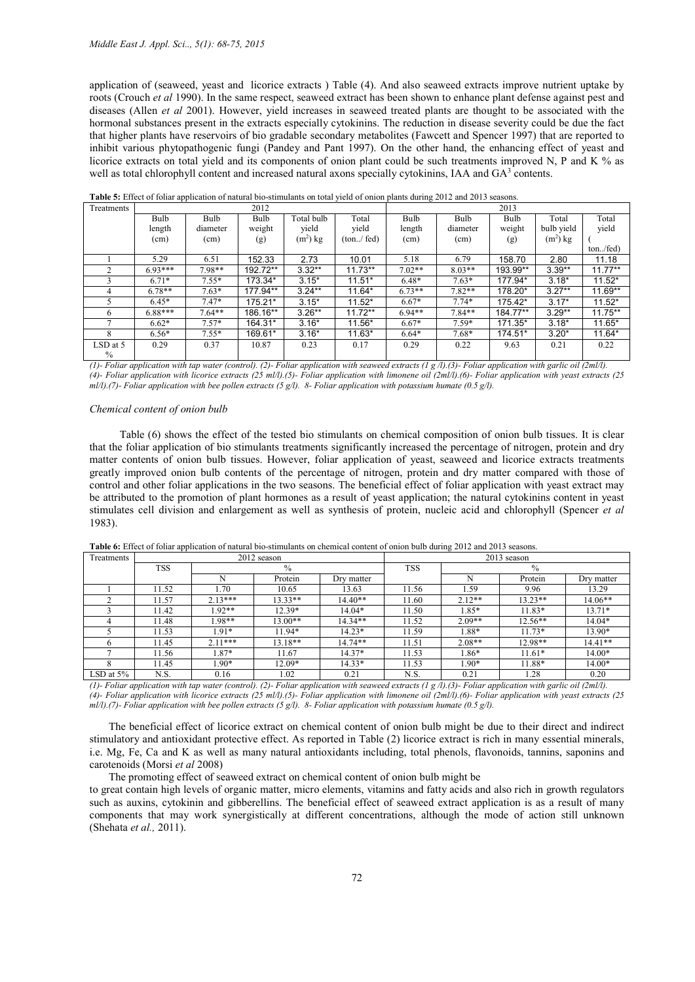application of (seaweed, yeast and licorice extracts ) Table (4). And also seaweed extracts improve nutrient uptake by roots (Crouch *et al* 1990). In the same respect, seaweed extract has been shown to enhance plant defense against pest and diseases (Allen *et al* 2001). However, yield increases in seaweed treated plants are thought to be associated with the hormonal substances present in the extracts especially cytokinins. The reduction in disease severity could be due the fact that higher plants have reservoirs of bio gradable secondary metabolites (Fawcett and Spencer 1997) that are reported to inhibit various phytopathogenic fungi (Pandey and Pant 1997). On the other hand, the enhancing effect of yeast and licorice extracts on total yield and its components of onion plant could be such treatments improved N, P and K % as well as total chlorophyll content and increased natural axons specially cytokinins, IAA and GA<sup>3</sup> contents.

| Treatments |           |          | 2012     |            | 2013         |          |          |          |            |           |
|------------|-----------|----------|----------|------------|--------------|----------|----------|----------|------------|-----------|
|            | Bulb      | Bulb     | Bulb     | Total bulb | Total        | Bulb     | Bulb     | Bulb     | Total      | Total     |
|            | length    | diameter | weight   | yield      | yield        | length   | diameter | weight   | bulb yield | yield     |
|            | (cm)      | (cm)     | (g)      | $(m2)$ kg  | (ton. / fed) | (cm)     | (cm)     | (g)      | $(m2)$ kg  |           |
|            |           |          |          |            |              |          |          |          |            | ton/fed)  |
|            | 5.29      | 6.51     | 152.33   | 2.73       | 10.01        | 5.18     | 6.79     | 158.70   | 2.80       | 11.18     |
|            | $693***$  | 7.98**   | 192.72** | $3.32**$   | $11.73**$    | $7.02**$ | $8.03**$ | 193.99** | $3.39**$   | $11.77**$ |
|            | $6.71*$   | $7.55*$  | 173.34*  | $3.15*$    | $11.51*$     | $6.48*$  | $7.63*$  | 177.94*  | $3.18*$    | $11.52*$  |
| 4          | $6.78**$  | $7.63*$  | 177.94** | $3.24**$   | 11.64*       | $6.73**$ | $7.82**$ | 178.20*  | $3.27**$   | $11.69**$ |
|            | $6.45*$   | $7.47*$  | 175.21*  | $3.15*$    | $11.52*$     | $6.67*$  | $7.74*$  | 175.42*  | $3.17*$    | $11.52*$  |
| 6          | $6.88***$ | $7.64**$ | 186.16** | $3.26**$   | $11.72**$    | $6.94**$ | $7.84**$ | 184.77** | $3.29**$   | $11.75**$ |
|            | $6.62*$   | $7.57*$  | 164.31*  | $3.16*$    | 11.56*       | $6.67*$  | $7.59*$  | 171.35*  | $3.18*$    | 11.65*    |
| 8          | $6.56*$   | $7.55*$  | 169.61*  | $3.16*$    | $11.63*$     | $6.64*$  | $7.68*$  | 174.51*  | $3.20*$    | 11.64*    |
| LSD at 5   | 0.29      | 0.37     | 10.87    | 0.23       | 0.17         | 0.29     | 0.22     | 9.63     | 0.21       | 0.22      |
| $\%$       |           |          |          |            |              |          |          |          |            |           |

Table 5: Effect of foliar application of natural bio-stimulants on total yield of onion plants during 2012 and 2013 seasons.

*(1)- Foliar application with tap water (control). (2)- Foliar application with seaweed extracts (1 g /l).(3)- Foliar application with garlic oil (2ml/l). (4)- Foliar application with licorice extracts (25 ml/l).(5)- Foliar application with limonene oil (2ml/l).(6)- Foliar application with yeast extracts (25 ml/l).(7)- Foliar application with bee pollen extracts (5 g/l). 8- Foliar application with potassium humate (0.5 g/l).*

#### *Chemical content of onion bulb*

 Table (6) shows the effect of the tested bio stimulants on chemical composition of onion bulb tissues. It is clear that the foliar application of bio stimulants treatments significantly increased the percentage of nitrogen, protein and dry matter contents of onion bulb tissues. However, foliar application of yeast, seaweed and licorice extracts treatments greatly improved onion bulb contents of the percentage of nitrogen, protein and dry matter compared with those of control and other foliar applications in the two seasons. The beneficial effect of foliar application with yeast extract may be attributed to the promotion of plant hormones as a result of yeast application; the natural cytokinins content in yeast stimulates cell division and enlargement as well as synthesis of protein, nucleic acid and chlorophyll (Spencer *et al* 1983).

| Treatments   |       |           | 2012 season   |            | 2013 season |               |           |            |  |  |
|--------------|-------|-----------|---------------|------------|-------------|---------------|-----------|------------|--|--|
|              | TSS   |           | $\frac{0}{0}$ |            | <b>TSS</b>  | $\frac{0}{0}$ |           |            |  |  |
|              |       |           | Protein       | Dry matter |             |               | Protein   | Dry matter |  |  |
|              | 11.52 | l.70      | 10.65         | 13.63      | 11.56       | 1.59          | 9.96      | 13.29      |  |  |
|              | 11.57 | $2.13***$ | $13.33**$     | $14.40**$  | 11.60       | $2.12**$      | $13.23**$ | $14.06**$  |  |  |
|              | 11.42 | $1.92**$  | $12.39*$      | 14.04*     | 11.50       | 1.85*         | 11.83*    | $13.71*$   |  |  |
|              | 11.48 | 1.98**    | $13.00**$     | $14.34**$  | 11.52       | $2.09**$      | $12.56**$ | $14.04*$   |  |  |
|              | 11.53 | $1.91*$   | $11.94*$      | $14.23*$   | 11.59       | 1.88*         | $11.73*$  | 13.90*     |  |  |
| h            | 11.45 | $2.11***$ | 13.18**       | $14.74**$  | 11.51       | $2.08**$      | 12.98**   | $14.41**$  |  |  |
|              | 11.56 | $1.87*$   | 11.67         | $14.37*$   | 11.53       | 1.86*         | $11.61*$  | $14.00*$   |  |  |
|              | 11.45 | $1.90*$   | $12.09*$      | $14.33*$   | 11.53       | 1.90*         | 11.88*    | $14.00*$   |  |  |
| LSD at $5\%$ | N.S.  | 0.16      | l.02          | 0.21       | N.S.        | 0.21          | .28       | 0.20       |  |  |

Table 6: Effect of foliar application of natural bio-stimulants on chemical content of onion bulb during 2012 and 2013 seasons.

*(1)- Foliar application with tap water (control). (2)- Foliar application with seaweed extracts (1 g /l).(3)- Foliar application with garlic oil (2ml/l). (4)- Foliar application with licorice extracts (25 ml/l).(5)- Foliar application with limonene oil (2ml/l).(6)- Foliar application with yeast extracts (25 ml/l).(7)- Foliar application with bee pollen extracts (5 g/l). 8- Foliar application with potassium humate (0.5 g/l).*

 The beneficial effect of licorice extract on chemical content of onion bulb might be due to their direct and indirect stimulatory and antioxidant protective effect. As reported in Table (2) licorice extract is rich in many essential minerals, i.e. Mg, Fe, Ca and K as well as many natural antioxidants including, total phenols, flavonoids, tannins, saponins and carotenoids (Morsi *et al* 2008)

The promoting effect of seaweed extract on chemical content of onion bulb might be

to great contain high levels of organic matter, micro elements, vitamins and fatty acids and also rich in growth regulators such as auxins, cytokinin and gibberellins. The beneficial effect of seaweed extract application is as a result of many components that may work synergistically at different concentrations, although the mode of action still unknown (Shehata *et al.,* 2011).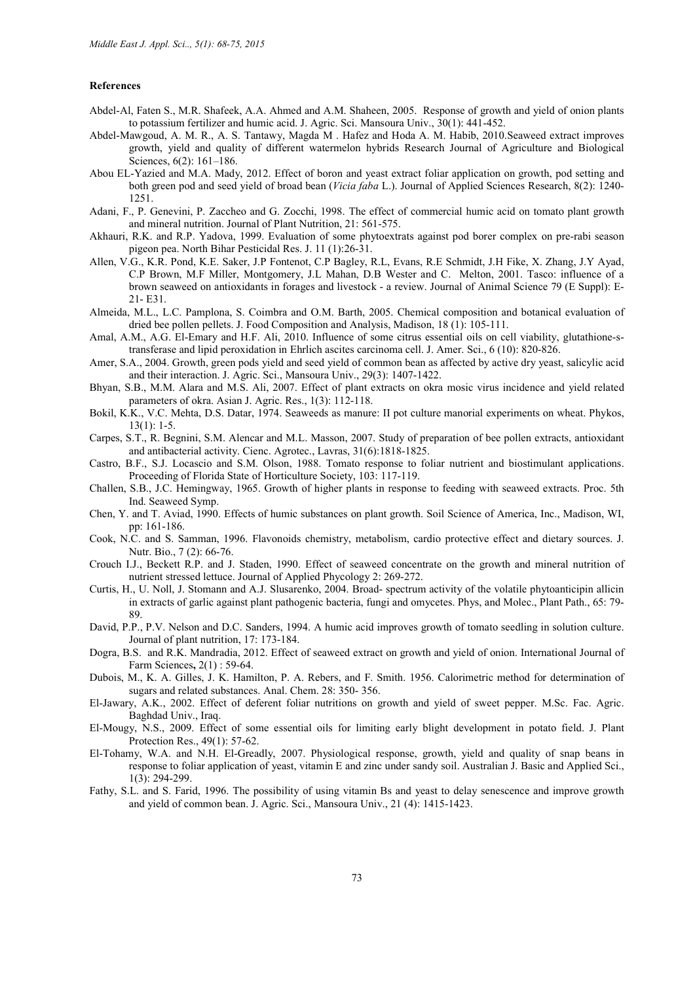### References

- Abdel-Al, Faten S., M.R. Shafeek, A.A. Ahmed and A.M. Shaheen, 2005. Response of growth and yield of onion plants to potassium fertilizer and humic acid. J. Agric. Sci. Mansoura Univ., 30(1): 441-452.
- Abdel-Mawgoud, A. M. R., A. S. Tantawy, Magda M . Hafez and Hoda A. M. Habib, 2010.Seaweed extract improves growth, yield and quality of different watermelon hybrids Research Journal of Agriculture and Biological Sciences, 6(2): 161-186.
- Abou EL-Yazied and M.A. Mady, 2012. Effect of boron and yeast extract foliar application on growth, pod setting and both green pod and seed yield of broad bean (*Vicia faba* L.). Journal of Applied Sciences Research, 8(2): 1240- 1251.
- Adani, F., P. Genevini, P. Zaccheo and G. Zocchi, 1998. The effect of commercial humic acid on tomato plant growth and mineral nutrition. Journal of Plant Nutrition, 21: 561-575.
- Akhauri, R.K. and R.P. Yadova, 1999. Evaluation of some phytoextrats against pod borer complex on pre-rabi season pigeon pea. North Bihar Pesticidal Res. J. 11 (1):26-31.
- Allen, V.G., K.R. Pond, K.E. Saker, J.P Fontenot, C.P Bagley, R.L, Evans, R.E Schmidt, J.H Fike, X. Zhang, J.Y Ayad, C.P Brown, M.F Miller, Montgomery, J.L Mahan, D.B Wester and C. Melton, 2001. Tasco: influence of a brown seaweed on antioxidants in forages and livestock - a review. Journal of Animal Science 79 (E Suppl): E-21- E31.
- Almeida, M.L., L.C. Pamplona, S. Coimbra and O.M. Barth, 2005. Chemical composition and botanical evaluation of dried bee pollen pellets. J. Food Composition and Analysis, Madison, 18 (1): 105-111.
- Amal, A.M., A.G. El-Emary and H.F. Ali, 2010. Influence of some citrus essential oils on cell viability, glutathione-stransferase and lipid peroxidation in Ehrlich ascites carcinoma cell. J. Amer. Sci., 6 (10): 820-826.
- Amer, S.A., 2004. Growth, green pods yield and seed yield of common bean as affected by active dry yeast, salicylic acid and their interaction. J. Agric. Sci., Mansoura Univ., 29(3): 1407-1422.
- Bhyan, S.B., M.M. Alara and M.S. Ali, 2007. Effect of plant extracts on okra mosic virus incidence and yield related parameters of okra. Asian J. Agric. Res., 1(3): 112-118.
- Bokil, K.K., V.C. Mehta, D.S. Datar, 1974. Seaweeds as manure: II pot culture manorial experiments on wheat. Phykos, 13(1): 1-5.
- Carpes, S.T., R. Begnini, S.M. Alencar and M.L. Masson, 2007. Study of preparation of bee pollen extracts, antioxidant and antibacterial activity. Cienc. Agrotec., Lavras, 31(6):1818-1825.
- Castro, B.F., S.J. Locascio and S.M. Olson, 1988. Tomato response to foliar nutrient and biostimulant applications. Proceeding of Florida State of Horticulture Society, 103: 117-119.
- Challen, S.B., J.C. Hemingway, 1965. Growth of higher plants in response to feeding with seaweed extracts. Proc. 5th Ind. Seaweed Symp.
- Chen, Y. and T. Aviad, 1990. Effects of humic substances on plant growth. Soil Science of America, Inc., Madison, WI, pp: 161-186.
- Cook, N.C. and S. Samman, 1996. Flavonoids chemistry, metabolism, cardio protective effect and dietary sources. J. Nutr. Bio., 7 (2): 66-76.
- Crouch I.J., Beckett R.P. and J. Staden, 1990. Effect of seaweed concentrate on the growth and mineral nutrition of nutrient stressed lettuce. Journal of Applied Phycology 2: 269-272.
- Curtis, H., U. Noll, J. Stomann and A.J. Slusarenko, 2004. Broad- spectrum activity of the volatile phytoanticipin allicin in extracts of garlic against plant pathogenic bacteria, fungi and omycetes. Phys, and Molec., Plant Path., 65: 79- 89.
- David, P.P., P.V. Nelson and D.C. Sanders, 1994. A humic acid improves growth of tomato seedling in solution culture. Journal of plant nutrition, 17: 173-184.
- Dogra, B.S. and R.K. Mandradia, 2012. Effect of seaweed extract on growth and yield of onion. International Journal of Farm Sciences, 2(1) : 59-64.
- Dubois, M., K. A. Gilles, J. K. Hamilton, P. A. Rebers, and F. Smith. 1956. Calorimetric method for determination of sugars and related substances. Anal. Chem. 28: 350- 356.
- El-Jawary, A.K., 2002. Effect of deferent foliar nutritions on growth and yield of sweet pepper. M.Sc. Fac. Agric. Baghdad Univ., Iraq.
- El-Mougy, N.S., 2009. Effect of some essential oils for limiting early blight development in potato field. J. Plant Protection Res., 49(1): 57-62.
- El-Tohamy, W.A. and N.H. El-Greadly, 2007. Physiological response, growth, yield and quality of snap beans in response to foliar application of yeast, vitamin E and zinc under sandy soil. Australian J. Basic and Applied Sci., 1(3): 294-299.
- Fathy, S.L. and S. Farid, 1996. The possibility of using vitamin Bs and yeast to delay senescence and improve growth and yield of common bean. J. Agric. Sci., Mansoura Univ., 21 (4): 1415-1423.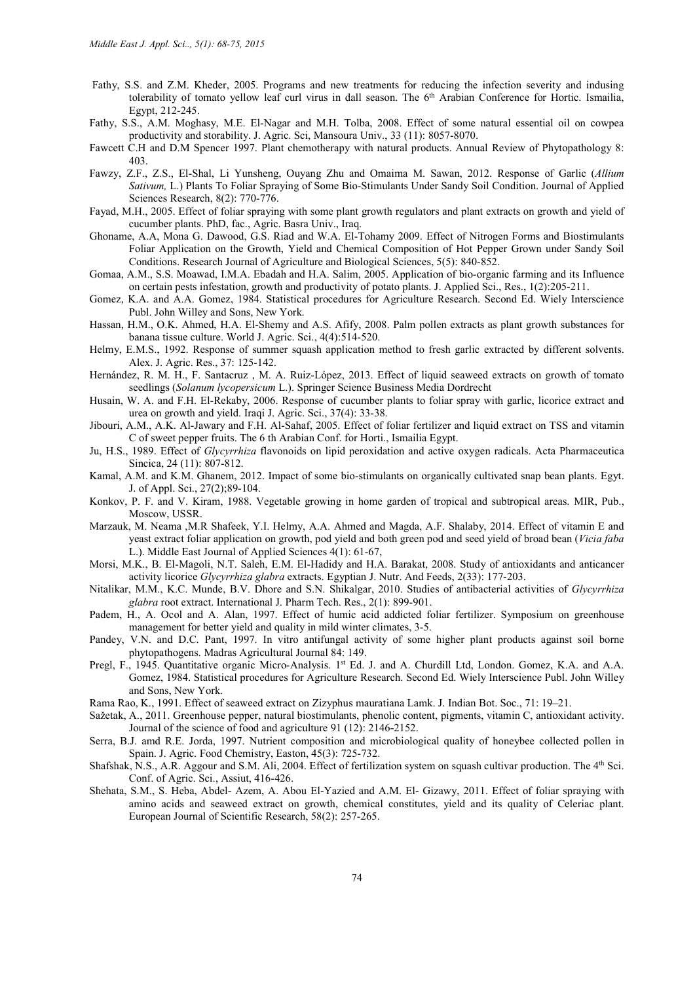- Fathy, S.S. and Z.M. Kheder, 2005. Programs and new treatments for reducing the infection severity and indusing tolerability of tomato yellow leaf curl virus in dall season. The 6<sup>th</sup> Arabian Conference for Hortic. Ismailia, Egypt, 212-245.
- Fathy, S.S., A.M. Moghasy, M.E. El-Nagar and M.H. Tolba, 2008. Effect of some natural essential oil on cowpea productivity and storability. J. Agric. Sci, Mansoura Univ., 33 (11): 8057-8070.
- Fawcett C.H and D.M Spencer 1997. Plant chemotherapy with natural products. Annual Review of Phytopathology 8: 403.
- Fawzy, Z.F., Z.S., El-Shal, Li Yunsheng, Ouyang Zhu and Omaima M. Sawan, 2012. Response of Garlic (*Allium Sativum,* L.) Plants To Foliar Spraying of Some Bio-Stimulants Under Sandy Soil Condition. Journal of Applied Sciences Research, 8(2): 770-776.
- Fayad, M.H., 2005. Effect of foliar spraying with some plant growth regulators and plant extracts on growth and yield of cucumber plants. PhD, fac., Agric. Basra Univ., Iraq.
- Ghoname, A.A, Mona G. Dawood, G.S. Riad and W.A. El-Tohamy 2009. Effect of Nitrogen Forms and Biostimulants Foliar Application on the Growth, Yield and Chemical Composition of Hot Pepper Grown under Sandy Soil Conditions. Research Journal of Agriculture and Biological Sciences, 5(5): 840-852.
- Gomaa, A.M., S.S. Moawad, I.M.A. Ebadah and H.A. Salim, 2005. Application of bio-organic farming and its Influence on certain pests infestation, growth and productivity of potato plants. J. Applied Sci., Res., 1(2):205-211.
- Gomez, K.A. and A.A. Gomez, 1984. Statistical procedures for Agriculture Research. Second Ed. Wiely Interscience Publ. John Willey and Sons, New York.
- Hassan, H.M., O.K. Ahmed, H.A. El-Shemy and A.S. Afify, 2008. Palm pollen extracts as plant growth substances for banana tissue culture. World J. Agric. Sci., 4(4):514-520.
- Helmy, E.M.S., 1992. Response of summer squash application method to fresh garlic extracted by different solvents. Alex. J. Agric. Res., 37: 125-142.
- Hernández, R. M. H., F. Santacruz , M. A. Ruiz-López, 2013. Effect of liquid seaweed extracts on growth of tomato seedlings (*Solanum lycopersicum* L.). Springer Science Business Media Dordrecht
- Husain, W. A. and F.H. El-Rekaby, 2006. Response of cucumber plants to foliar spray with garlic, licorice extract and urea on growth and yield. Iraqi J. Agric. Sci., 37(4): 33-38.
- Jibouri, A.M., A.K. Al-Jawary and F.H. Al-Sahaf, 2005. Effect of foliar fertilizer and liquid extract on TSS and vitamin C of sweet pepper fruits. The 6 th Arabian Conf. for Horti., Ismailia Egypt.
- Ju, H.S., 1989. Effect of *Glycyrrhiza* flavonoids on lipid peroxidation and active oxygen radicals. Acta Pharmaceutica Sincica, 24 (11): 807-812.
- Kamal, A.M. and K.M. Ghanem, 2012. Impact of some bio-stimulants on organically cultivated snap bean plants. Egyt. J. of Appl. Sci., 27(2);89-104.
- Konkov, P. F. and V. Kiram, 1988. Vegetable growing in home garden of tropical and subtropical areas. MIR, Pub., Moscow, USSR.
- Marzauk, M. Neama ,M.R Shafeek, Y.I. Helmy, A.A. Ahmed and Magda, A.F. Shalaby, 2014. Effect of vitamin E and yeast extract foliar application on growth, pod yield and both green pod and seed yield of broad bean (*Vicia faba*  L.). Middle East Journal of Applied Sciences 4(1): 61-67,
- Morsi, M.K., B. El-Magoli, N.T. Saleh, E.M. El-Hadidy and H.A. Barakat, 2008. Study of antioxidants and anticancer activity licorice *Glycyrrhiza glabra* extracts. Egyptian J. Nutr. And Feeds, 2(33): 177-203.
- Nitalikar, M.M., K.C. Munde, B.V. Dhore and S.N. Shikalgar, 2010. Studies of antibacterial activities of *Glycyrrhiza glabra* root extract. International J. Pharm Tech. Res., 2(1): 899-901.
- Padem, H., A. Ocol and A. Alan, 1997. Effect of humic acid addicted foliar fertilizer. Symposium on greenhouse management for better yield and quality in mild winter climates, 3-5.
- Pandey, V.N. and D.C. Pant, 1997. In vitro antifungal activity of some higher plant products against soil borne phytopathogens. Madras Agricultural Journal 84: 149.
- Pregl, F., 1945. Quantitative organic Micro-Analysis. 1st Ed. J. and A. Churdill Ltd, London. Gomez, K.A. and A.A. Gomez, 1984. Statistical procedures for Agriculture Research. Second Ed. Wiely Interscience Publ. John Willey and Sons, New York.
- Rama Rao, K., 1991. Effect of seaweed extract on Zizyphus mauratiana Lamk. J. Indian Bot. Soc., 71: 19–21.
- Sažetak, A., 2011. Greenhouse pepper, natural biostimulants, phenolic content, pigments, vitamin C, antioxidant activity. Journal of the science of food and agriculture 91 (12): 2146-2152.
- Serra, B.J. amd R.E. Jorda, 1997. Nutrient composition and microbiological quality of honeybee collected pollen in Spain. J. Agric. Food Chemistry, Easton, 45(3): 725-732.
- Shafshak, N.S., A.R. Aggour and S.M. Ali, 2004. Effect of fertilization system on squash cultivar production. The 4<sup>th</sup> Sci. Conf. of Agric. Sci., Assiut, 416-426.
- Shehata, S.M., S. Heba, Abdel- Azem, A. Abou El-Yazied and A.M. El- Gizawy, 2011. Effect of foliar spraying with amino acids and seaweed extract on growth, chemical constitutes, yield and its quality of Celeriac plant. European Journal of Scientific Research, 58(2): 257-265.